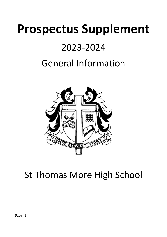# **Prospectus Supplement**

### 2023-2024

## General Information



## St Thomas More High School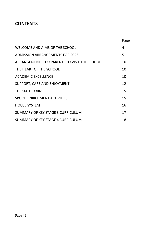### **CONTENTS**

|                                              | Page |
|----------------------------------------------|------|
| WELCOME AND AIMS OF THE SCHOOL               | 4    |
| <b>ADMISSION ARRANGEMENTS FOR 2023</b>       | 5    |
| ARRANGEMENTS FOR PARENTS TO VISIT THE SCHOOL | 10   |
| THE HEART OF THE SCHOOL                      | 10   |
| <b>ACADEMIC EXCELLENCE</b>                   | 10   |
| SUPPORT, CARE AND ENJOYMENT                  | 12   |
| THE SIXTH FORM                               | 15   |
| <b>SPORT, ENRICHMENT ACTIVITIES</b>          | 15   |
| <b>HOUSE SYSTEM</b>                          | 16   |
| SUMMARY OF KEY STAGE 3 CURRICULUM            | 17   |
| SUMMARY OF KEY STAGE 4 CURRICULUM            | 18   |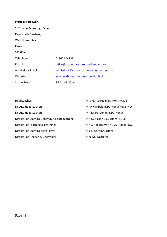#### **CONTACT DETAILS**

| St Thomas More High School |                                          |
|----------------------------|------------------------------------------|
| Kenilworth Gardens,        |                                          |
| Westcliff-on-Sea,          |                                          |
| Essex                      |                                          |
| SSO OBW                    |                                          |
| Telephone:                 | 01702 344933                             |
| E-mail:                    | office@st-thomasmore.southend.sch.uk     |
| <b>Admissions Email:</b>   | admissions@st-thomasmore.southend.sch.uk |
| Website:                   | www.st-thomasmore.southend.sch.uk        |
| <b>School Hours:</b>       | 8.30am-3.30pm                            |

| Headteacher:                                  | Mrs. G. Ackred B.SC (Hons) PGCE       |
|-----------------------------------------------|---------------------------------------|
| Deputy Headteacher:                           | Mr P Maxfield B.SC (Hons) PGCE M.A    |
| Deputy Headteacher:                           | Mr. M. Hardiman B.SC (Hons)           |
| Director of Learning Behaviour & Safeguarding | Mr. G. Mason B.SC (Hons) PGCE         |
| Director of Teaching & Learning:              | Mr. J. Hollingsworth B.A. (Hons) PGCE |
| Director of Learning Sixth Form:              | Ms. E. Corr B.A. (Hons)               |
| Director of Finance & Operations:             | Mrs. M. Westpfel                      |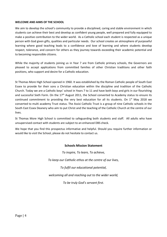#### **WELCOME AND AIMS OF THE SCHOOL**

We aim to develop the school's community to provide a disciplined, caring and stable environment in which students can achieve their best and develop as confident young people, well prepared and fully equipped to make a positive contribution to the wider world. As a Catholic school each student is respected as a unique person with God given gifts, qualities and particular needs. Our school creates an atmosphere of purposeful learning where good teaching leads to a confidence and love of learning and where students develop respect, tolerance, and concern for others as they journey towards exceeding their academic potential and to becoming responsible citizens.

While the majority of students joining us in Year 7 are from Catholic primary schools, the Governors are pleased to accept applications from committed families of other Christian traditions and other faith positions, who support and desire for a Catholic education.

St Thomas More High School opened in 1960. It was established by the Roman Catholic people of South East Essex to provide for their sons a Christian education within the discipline and tradition of the Catholic Church. Today we are a Catholic boys' school in Years 7 to 11 and have both boys and girls in our flourishing and successful Sixth Form. On the  $17<sup>th</sup>$  August 2011, the School converted to Academy status to ensure its continued commitment to providing the very best education for all its students. On  $1^{st}$  May 2018 we converted to multi academy Trust status. The Assisi Catholic Trust is a group of nine Catholic schools in the South East Essex Deanery who aim to put Christ and the teaching of the Catholic Church at the centre of our lives.

St Thomas More High School is committed to safeguarding both students and staff. All adults who have unsupervised contact with students are subject to an enhanced DBS check.

We hope that you find this prospectus informative and helpful. Should you require further information or would like to visit the School, please do not hesitate to contact us.

#### **Schools Mission Statement**

*To inspire, To learn, To achieve, To keep our Catholic ethos at the centre of our lives, To fulfil our educational potential, welcoming all and reaching out to the wider world,*

*To be truly God's servant first.*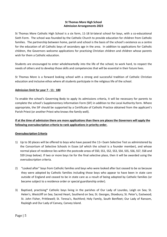#### **St Thomas More High School Admission Arrangements 2023**

St Thomas More Catholic High School is a six form, 11-18 bi-lateral school for boys, with a co-educational Sixth Form. The school was founded by the Catholic Church to provide education for children from Catholic families. The partnership between home, parish and school is the basis of the school's existence as a centre for the education of all Catholic boys of secondary age in the area. In addition to applications for Catholic children, the Governors welcome applications for practising Christian children and children whose parents wish for them a Catholic education.

Students are encouraged to enter wholeheartedly into the life of the school; to work hard, to respect the needs of others and to develop those skills and competencies that will be essential in their future lives.

St Thomas More is a forward looking school with a strong and successful tradition of Catholic Christian education and inclusive ethos where all students participate in the religious life of the school.

#### **Admission limit for year 7 - 11: 180**

To enable the school's Governing Body to apply its admissions criteria, it will be necessary for parents to complete the school's Supplementary Information Form (SIF) in addition to the Local Authority form. Where appropriate, the SIF should be supported by a Certificate of Catholic Practice obtained from the applicant's Parish Priest (or another Priest who knows the family well).

#### **If at the time of admission there are more applications than there are places the Governors will apply the following oversubscription criteria to rank applications in priority order.**

#### **Oversubscription Criteria**

- 1) Up to 30 places will be offered to boys who have passed the 11+ Exam Selective Test as administered by the Consortium of Selective Schools in Essex (of which the school is a founder member), and whose normal place of residence lies within the postcode areas of SS0, SS1, SS2, SS3, SS4, SS5, SS6, SS7, SS8 and SS9 (map below). If two or more boys tie for the final selective place, then it will be awarded using the oversubscription criteria.
- 2) "Looked after" boys from Catholic families and boys who were looked after but ceased to be so because they were adopted by Catholic families including those boys who appear to have been in state care outside of England and ceased to be in state care as a result of being adopted by Catholic families (or became subject to a residence order or special guardianship order).
- 3) Baptised, practising\* Catholic boys living in the parishes of Our Lady of Lourdes, Leigh on Sea; St. Helen's, Westcliff on Sea; Sacred Heart, Southend on Sea; St. Georges, Shoebury; St. Peter's, Eastwood; St. John Fisher, Prittlewell; St. Teresa's, Rochford; Holy Family, South Benfleet; Our Lady of Ransom, Rayleigh and Our Lady of Canvey, Canvey Island.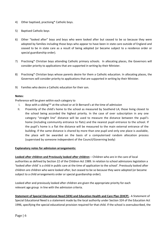- 4) Other baptised, practising\* Catholic boys.
- 5) Baptised Catholic boys
- 6) Other "looked after" boys and boys who were looked after but ceased to be so because they were adopted by families including those boys who appear to have been in state care outside of England and ceased to be in state care as a result of being adopted (or became subject to a residence order or special guardianship order).
- 7) Practising\* Christian boys attending Catholic primary schools. In allocating places, the Governors will consider priority to applications that are supported in writing by their Minister.
- 8) Practising\* Christian boys whose parents desire for them a Catholic education. In allocating places, the Governors will consider priority to applications that are supported in writing by their Minister.
- 9) Families who desire a Catholic education for their son.

#### **Notes:**

Preference will be given within each category to

- I. Boys with a sibling\*\* at the school or at St Bernard's at the time of admission
- II. Proximity of the child's home to the school as measured by Southend LA; those living closest to the school being accorded the highest priority. In the case of over subscription in any one category "straight line" distance will be used to measure the distance between the pupil's home (including community entrance to flats) and the nearest pupil entrance to the school. If the pupil's home is a flat the distance will be measured to the main external entrance of the building. If the same distance is shared by more than one pupil and only one place is available, the place will be awarded on the basis of a computerised random allocation process (supervised by someone independent of the Council/Governing body)

#### **Explanatory notes for admission arrangements:**

**Looked after children and Previously looked after children** – Children who are in the care of local authorities as defined by Section 22 of the Children Act 1989. In relation to school admissions legislation a 'looked after child' is a child in public care at the time of application to the school'. Previously looked after children are children who were looked after, but ceased to be so because they were adopted (or became subject to a child arrangements order or special guardianship order).

Looked after and previously looked after children are given the appropriate priority for each relevant age group in line with the admission criteria.

**Statement of Special Educational Need (SEN) and Education Health and Care Plan (EHCP)** - A Statement of Special Educational Need is a statement made by the local authority under Section 324 of the Education Act 1996, specifying the special educational provision required for that child. If the school is oversubscribed, the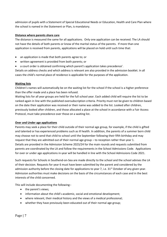admission of pupils with a Statement of Special Educational Needs or Education, Health and Care Plan where the school is named in the Statement or Plan, is mandatory.

#### **Distance where parents share care**

The distance is measured the same for all applications. Only one application can be received. The LA should not have the details of both parents or know of the marital status of the parents. If more than one application is received from parents, applications will be placed on hold until such time that:

- an application is made that both parents agree to; or
- written agreement is provided from both parents; or
- a court order is obtained confirming which parent's application takes precedence'.

Details on address checks and which address is relevant are also provided in the admission booklet. In all cases the child's normal place of residence is applicable for the purposes of the application.

#### **Waiting lists**

Children's names will automatically be on the waiting list for the school if the school is a higher preference than the offer made and a place has been refused.

Waiting lists for all year groups are held for the full school year. Each added child will require the list to be ranked again in line with the published oversubscription criteria. Priority must not be given to children based on the date their application was received or their name was added to the list. Looked after children, previously looked after children, and those allocated a place at the school in accordance with a Fair Access Protocol, must take precedence over those on a waiting list.

#### **Over and Under age applications**

Parents may seek a place for their child outside of their normal age group, for example, if the child is gifted and talented or has experienced problems such as ill health. In addition, the parents of a summer born child may choose not to send that child to school until the September following their fifth birthday and may request that they are admitted out of their normal age group – to reception rather than year 1. Details are provided in the Admission Scheme 2023/24 for the main rounds and requests submitted from parents are coordinated by the LA and follow the requirements in the School Admissions Code. Applications for over or under age applications in-year will be handled in line with the School Admissions Code 2021.

Such requests for Schools in Southend-on-Sea are made directly to the school and the school advises the LA of their decision. Requests for year 6 must have been submitted by the parent and considered by the admission authority before the closing date for applications to year 7, i.e.  $31^{st}$  October of any given year. Admission authorities must make decisions on the basis of the circumstances of each case and in the best interests of the child concerned.

This will include documenting the following:-

- the parent's views;
- information about the child's academic, social and emotional development;
- where relevant, their medical history and the views of a medical professional;
- whether they have previously been educated out of their normal age group;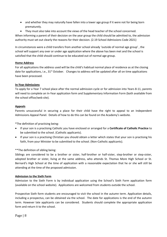- and whether they may naturally have fallen into a lower age group if it were not for being born prematurely.
- They must also take into account the views of the head teacher of the school concerned.

When informing a parent of their decision on the year group the child should be admitted to, the admission authority must set out clearly the reasons for their decision. (2.19 School Admissions Code 2021)

In circumstances were a child transfers from another school already 'outside of normal age group' , the school will support any over or under age application where the above has been met and the school is satisfied that the child should continue to be educated out of normal age group.

#### **Home Address**

For all applications the address used will be the child's habitual normal place of residence as at the closing date for applications, i.e.,  $31^{st}$  October. Changes to address will be updated after all on time applications have been processed.

#### **In-Year Admissions**

To apply for a Year 7 school place after the normal admission cycle or for admission into Years 8-11, parents will need to complete an In-Year application form and Supplementary Information Form (both available from the school office/web site).

#### **Appeals**

Parents unsuccessful in securing a place for their child have the right to appeal to an Independent Admissions Appeal Panel. Details of how to do this can be found on the Academy's website.

\*The definition of practising being:

- If your son is a practising Catholic you have enclosed or arranged for a **Certificate of Catholic Practice** to be submitted to the school. (Catholic applicants).
- If your son is a practising Christian you should obtain a letter which states that your son is practising his faith, from your Minister to be submitted to the school. (Non-Catholic applicants).

#### \*\*The definition of sibling being:

Siblings are considered to be a brother or sister, half-brother or half-sister, step-brother or step-sister, adopted brother or sister, living at the same address, who attends St. Thomas More High School or St. Bernard's High School at the time of application with a reasonable expectation that he or she will still be attending at the time of the proposed admission.

#### **Admission to the Sixth Form**

Admission to the Sixth Form is by individual application using the School's Sixth Form application form (available on the school website). Applications are welcomed from students outside the school.

Prospective Sixth form students are encouraged to visit the school in the autumn term. Application details, including a prospectus, can be obtained via the school. The date for applications is the end of the autumn term. However late applicants can be considered. Students should complete the appropriate application form and return it to the school.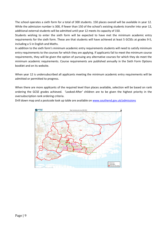The school operates a sixth form for a total of 300 students. 150 places overall will be available in year 12. While the admission number is 300, if fewer than 150 of the school's existing students transfer into year 12, additional external students will be admitted until year 12 meets its capacity of 150.

Students wishing to enter the sixth form will be expected to have met the minimum academic entry requirements for the sixth form. These are that students will have achieved at least 5 GCSEs at grades 9-5, including a 5 in English and Maths.

In addition to the sixth form's minimum academic entry requirements students will need to satisfy minimum entry requirements to the courses for which they are applying. If applicants fail to meet the minimum course requirements, they will be given the option of pursuing any alternative courses for which they do meet the minimum academic requirements. Course requirements are published annually in the Sixth Form Options booklet and on its website.

When year 12 is undersubscribed all applicants meeting the minimum academic entry requirements will be admitted or permitted to progress.

When there are more applicants of the required level than places available, selection will be based on rank ordering the GCSE grades achieved. 'Looked-After' children are to be given the highest priority in the oversubscription rank ordering criteria.

Drill down map and a postcode look up table are available o[n www.southend.gov.uk/admissions](http://www.southend.gov.uk/admissions)

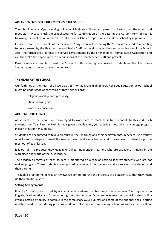#### **ARRANGEMENTS FOR PARENTS TO VISIT THE SCHOOL**

The school holds an Open evening in July, which allows children and parents to look around the school and meet staff. Please check the school website for confirmation of the date. In the Autumn term of year 6, following the publication of the 11+ results there will be an opportunity to visit the school by appointment.

In July of year 6, the parents of the new Year 7 boys who will be joining the School are invited to a meeting to be addressed by the Headteacher and Senior Staff on the aims, objectives and organisation of the School. After the formal talks, parents are served refreshments by the Friends of St Thomas More Association and can then take the opportunity to ask questions of the Headteacher, staff and prefects.

Parents who are unable to visit the School for this meeting are invited to telephone the Admissions Secretary and arrange to have a guided tour.

#### **THE HEART OF THE SCHOOL**

Our faith lies at the heart of all we do at St Thomas More High School. Religious Education at our School might be understood as consisting of three dimensions:

- religious worship and spirituality,
- Christian living and
- academic education.

#### **ACADEMIC EXCELLENCE**

All students in the School are encouraged to work hard to reach their full potential. To this end, each student, from Year 7 to the Sixth Form, is given a challenging, yet realistic targets which encourage progress in each of his or her subjects.

Students are encouraged to take a pleasure in their learning and their achievements. Teachers use a variety of skills and strategies to meet the needs of each and every learner and to allow each student to get the most out of each lesson.

It is our aim to produce knowledgeable, skilled, independent learners who are capable of thriving in the workplace and world of the 21st century.

The academic progress of each student is monitored on a regular basis to identify students who are not making progress. These students are supported by a team of mentors who work closely with the student and their parents.

Through a programme of regular reviews we aim to improve the progress of all students so that they might do their abilities justice.

#### **Setting Arrangements**

It is the School's policy to set by academic ability where possible. For instance, in Year 7 setting occurs in English, Mathematics and Science during the autumn term. Other subjects may be taught in mixed ability groups. Setting by ability is possible in the compulsory GCSE subjects and some of the optional ones. Setting is determined by considering previous academic information from Primary school, as well as the results of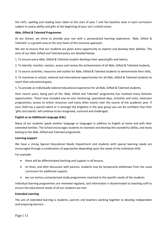the CATs, spelling and reading tests taken at the start of year 7 and the baseline tests in each curriculum subject to assess ability and gifts at the beginning of your son's school career.

#### **Able, Gifted & Talented Programme**

At our School, we strive to provide your son with a personalised learning experience. 'Able, Gifted & Talented' is a growth area at the very heart of this inclusive approach.

We aim to ensure that our students are given every opportunity to explore and develop their abilities. The aims of our Able, Gifted and Talented policy are detailed below:

1. To ensure every Able, Gifted & Talented student develops their special gifts and talents,

2. To identify, monitor, mentor, assess and review the achievements of all Able, Gifted & Talented students,

3. To source activities, resources and outlets for Able, Gifted & Talented students to demonstrate their skills,

4. To maximise in-school, national and international opportunities for all Able, Gifted & Talented students to reach their educational goals,

5. To provide an individually tailored educational experience for all Able, Gifted & Talented students.

Over recent years, being part of the 'Able, Gifted and Talented' programme has involved many fantastic opportunities. These have included one-on-one mentoring, specialised days, activities and visits, extension programmes, access to online resources and many other events over the course of the academic year. If your child has a special talent or is amongst the brightest in the year group you can be confident that their 'gifts and talents' will continue to be recognised, nurtured and challenged.

#### **English as an Additional Language (EAL)**

Many of our students speak another language or languages in addition to English at home and with their extended families. The School encourages students to maintain and develop this wonderful ability, and many belong to the Able, Gifted and Talented programme.

#### **Learning Support**

We have a strong Special Educational Needs Department and students with special learning needs are encouraged through a combination of approaches depending upon the needs of the individual child.

For example:

- there will be differentiated teaching and support in all lessons,
- at times, and after discussion with parents, students may be temporarily withdrawn from the usual curriculum for additional support,
- we run various computerised study-programmes matched to the specific needs of the students

Individual learning programmes are reviewed regularly, and information is disseminated to teaching staff to ensure the educational needs of all our students are met.

#### **Extended Learning**

The aim of extended learning is students, parents and teachers working together to develop independent and enquiring learners.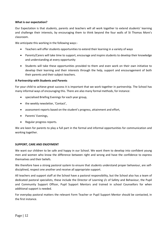#### **What is our expectation?**

Our Expectation is that students, parents and teachers will all work together to extend students' learning and challenge their interests, by encouraging them to think beyond the four walls of St Thomas More's classroom.

We anticipate this working in the following ways:-

- Teachers will offer students opportunities to extend their learning in a variety of ways
- Parents/Carers will take time to support, encourage and inspire students to develop their knowledge and understanding at every opportunity
- Students will take these opportunities provided to them and even work on their own initiative to develop their learning and their interests through the help, support and encouragement of both their parents and their subject teachers.

#### **A Partnership with Students and Parents**

For your child to achieve great success it is important that we work together in partnership. The School has many informal ways of encouraging this. There are also many formal methods, for instance:

- specialised Briefing Evenings for each year group,
- the weekly newsletter, 'Contact',
- assessment reports based on the student's progress, attainment and effort,
- Parents' Evenings,
- Regular progress reports.

We are keen for parents to play a full part in the formal and informal opportunities for communication and working together.

#### **SUPPORT, CARE AND ENJOYMENT**

We want our children to be safe and happy in our School. We want them to develop into confident young men and women who know the difference between right and wrong and have the confidence to express themselves and their beliefs.

We therefore have a strong pastoral system to ensure that students understand proper behaviour, are selfdisciplined, respect one another and receive all appropriate support.

All teachers and support staff at the School have a pastoral responsibility, but the School also has a team of dedicated pastoral specialists, these include the Director of Learning i/c of Safety and Behaviour, the Pupil and Community Support Officer, Pupil Support Mentors and trained in school Counsellors for when additional support is needed.

For everyday pastoral matters the relevant Form Teacher or Pupil Support Mentor should be contacted, in the first instance.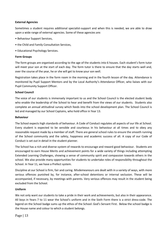#### **External Agencies**

Sometimes a student requires additional specialist-support and when this is needed, we are able to draw upon a wide range of external agencies. Some of these agencies are:

- Behaviour Support Services,
- the Child and Family Consultation Services,
- Educational Psychology Services.

#### **Form Groups**

The form groups are organised according to the age of the students into 6 houses. Each student's form tutor will meet your son at the start of each day. The form tutor is there to ensure that the day starts well and, over the course of the year, he or she will get to know your son well.

Registration takes place in the form room in the morning and in the fourth lesson of the day. Attendance is monitored by Pupil Support Mentors and by the Local Authority's Attendance Officer, who liaises with our Pupil Community Support Officer.

#### **School Council**

The voice of our students is immensely important to us and the School Council is the elected student body who enable the leadership of the School to hear and benefit from the views of our students. Students also complete an annual attitudinal survey which feeds into the school development plan. The School Council is led and managed by our School Captains, who hold office in Year 13.

#### **Behaviour**

The School expects high standards of behaviour. A Code of Conduct regulates all aspects of our life at School. Every student is expected to be sensible and courteous in his behaviour at all times and to obey any reasonable request made by a member of staff. There are general school rules to ensure the smooth running of the School community and the safety, happiness and academic success of all. A copy of our Code of Conduct is set out in detail in the student planner.

The School has a rich and diverse system of rewards to encourage and reward good behaviour. Students are encouraged to earn House Merits and achievement points for a wide variety of things including attempting Extended Learning Challenges, showing a sense of community spirit and compassion towards others in the school. We also provide many opportunities for students to undertake roles of responsibility throughout the School. In Year 11, we have a Prefect system.

Discipline at our School is firm, fair and caring. Misdemeanours are dealt with in a variety of ways, with more serious offences punished by, for instance, after-school detentions or internal seclusion. These will be accompanied, if necessary, by meetings with parents. Very serious offences may result in the student being excluded from the School.

#### **Uniform**

We not only want our students to take a pride in their work and achievements, but also in their appearance. All boys in Years 7 to 11 wear the School's uniform and in the Sixth Form there is a strict dress-code. The legend on the School badge sums up the ethos of the School: God's Servant First. Below the school badge is the House name and colour to which a student belongs.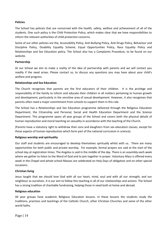#### **Policies**

The School has policies that are concerned with the health, safety, welfare and achievement of all of the students. One such policy is the Child Protection Policy, which makes clear that we have responsibilities to inform the relevant authorities of child protection concerns.

Some of our other policies are the, Accessibility Policy, Anti-Bullying Policy, Anti-Drugs Policy, Behaviour and Discipline Policy, Disability Equality Scheme, Equal Opportunities Policy, Race Equality Policy and Relationships and Sex Education policy. The School also has a Complaints Procedure, to be found on our website.

#### **Partnership**

At our School we aim to make a reality of the idea of partnership with parents and we will contact you readily if the need arises. Please contact us, to discuss any questions you may have about your child's welfare and progress.

#### **Relationships and Sex Education**

The Church recognises that parents are the first educators of their children. It is the privilege and responsibility of the family to inform and educate their children in all matters pertaining to human growth and development, particularly in the sensitive area of sexual development. However, it also recognises that parents often need a major commitment from schools to support them in this role.

The School has a Relationships and Sex Education programme delivered through the Religious Education Department, the Citizenship and Personal, Social and Health Education Department and the Science Department. This programme spans all year groups of the School and covers both the physical details of human reproduction and moral teaching on sexuality in accordance with the teaching of the Church.

(Parents have a statutory right to withdraw their sons and daughters from sex education classes, except for those aspects of human reproduction which form part of the national curriculum in science).

#### **Religious worship and spirituality**

Our staff and students are encouraged to develop themselves spiritually whilst with us. There are many opportunities for both public and private worship. For example, formal prayers are said at the start of the school day at registration times. The Angelus is said in the middle of the day. There is an assembly each week where we gather to listen to the Word of God and to join together in prayer. Voluntary Mass is offered every week in the Chapel and whole-school Masses are celebrated on Holy Days of obligation and on other special occasions.

#### **Christian living**

Jesus taught that we should love God with all our heart, mind, soul and with all our strength, and our neighbour as ourselves. It is our aim to follow this teaching in all of our relationships and actions. The School has a strong tradition of charitable fundraising, helping those in need both at home and abroad.

#### **Religious education**

All year groups have academic Religious Education lessons. In these lessons the students study the traditions, practices and teachings of the Catholic Church, other Christian Churches and some of the other world faiths.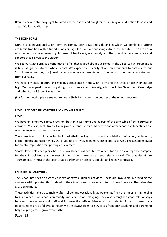(Parents have a statutory right to withdraw their sons and daughters from Religious Education lessons and acts of Collective Worship.)

#### **THE SIXTH FORM**

Ours is a co-educational Sixth Form welcoming both boys and girls and in which we combine a strong academic tradition with a friendly, welcoming ethos and a flourishing extra-curricular life. The Sixth Form environment is characterised by its sense of hard work, community and the individual care, guidance and support that is given to the students.

We see our Sixth Form as a continuation of all that is good about our School in the 11 to 16 age group and it is fully integrated into the whole School. We expect the majority of our own students to continue to our Sixth Form where they are joined by large numbers of new students from local schools and some students from overseas.

We have a friendly, mature and studious atmosphere in the Sixth Form and the levels of achievement are high. We have great success in getting our students into university, which includes Oxford and Cambridge and other Russell Group Universities.

(For further details, please see our separate Sixth Form Admission booklet or the school website).

#### **SPORT, ENRICHMENT ACTIVITIES AND HOUSE SYSTEM**

#### **SPORT**

We have an extensive sports-provision, both in lesson time and as part of the timetable of extra-curricular activities. Many students from all year groups attend sports clubs before and after school and lunchtimes are open to anyone to attend as they wish.

There are teams or clubs in football, basketball, hockey, cross country, athletics, swimming, badminton, cricket, tennis and table tennis. Our students are involved in many other sports as well. The School enjoys a formidable reputation for sporting achievement.

Sports Day is held each year where as many students as possible from each form are encouraged to compete for their School House – the rest of the School makes up an enthusiastic crowd. We organise House Tournaments in most of the sports listed earlier which are very popular and keenly contested.

#### **ENRICHMENT ACTIVITIES**

The School provides an extensive range of extra-curricular activities. These are invaluable in providing the students with opportunities to develop their talents and to excel and to find new interests. They also give great enjoyment.

These activities take place mainly after school and occasionally at weekends. They are important in helping to build a sense of School community and a sense of belonging. They also strengthen good relationships between the students and staff and improve the self-confidence of our students. Some of these many opportunities are as follows, although we are always open to new ideas from both students and parents to help the programme grow even further.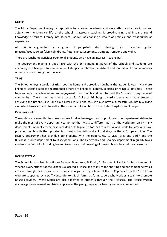#### **MUSIC**

The Music Department enjoys a reputation for a sound academic and work ethos and as an important adjunct to the Liturgical life of the school. Classroom teaching is broad-ranging and instils a sound knowledge of musical literacy into students, as well as enabling a wealth of practical and cross-curricular experience.

All this is augmented by a group of peripatetic staff tutoring boys in clarinet, guitar (electric/acoustic/bass/classical), drums, flute, piano, saxophone, trumpet, trombone and violin.

There are lunchtime activities open to all students who have an interest in taking part.

The Department maintains good links with the Enrichment initiatives of the school; and students are encouraged to take part fully in the annual liturgical celebrations in Advent and Lent, as well as on numerous other occasions throughout the year.

#### **TRIPS**

The School enjoys a wealth of trips, both at home and abroad, throughout the academic year. Many are linked to specific subject departments; others are linked to cultural, sporting or religious activities. These trips enhance the achievement and enjoyment of our pupils and help to build the School's strong sense of community. The school has a very successful Duke of Edinburgh award scheme with many students achieving the Bronze, Silver and Gold award in KS4 and KS5. We also have a successful Mountain Walking club which takes students to walk in the mountains found both in the United Kingdom and Europe.

#### **Overseas Visits**

These visits are essential to make modern foreign languages real to pupils and the department strives to make the most of every opportunity to do just that. Visits to different parts of the world are run by many departments. Annually these have included a ski trip and a football tour to Holland. Visits to Barcelona have provided pupils with the opportunity to enjoy linguistic and cultural stays in these European cities. The History department has provided our students with the opportunity to visit Ypres and Berlin and the Business Studies department to Disneyland Paris. The Geography and Geology department regularly takes students on field trips including Iceland to enhance their learning of these subjects beyond the classroom.

#### **HOUSE SYSTEM**

The School is organised in a House System: St Andrew, St David, St George, St Patrick, St Sebastian and St Vincent. Every student at the School is allocated a House and many of the sporting and enrichment activities are run through these Houses. Each House is organised by a team of House Captains from the Sixth Form who are supported by a staff House Mentor. Each form has form leaders who work as a team to promote house activities. Merit Marks are also allocated to students through their Houses. The House system encourages involvement and friendship across the year groups and a healthy sense of competition.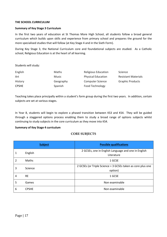#### **THE SCHOOL CURRICULUM**

#### **Summary of Key Stage 3 Curriculum**

In the first two years of education at St Thomas More High School, all students follow a broad general curriculum which builds upon skills and experience from primary school and prepares the ground for the more specialised studies that will follow (at Key Stage 4 and in the Sixth Form).

During Key Stage 3, the National Curriculum core and foundational subjects are studied. As a Catholic school, Religious Education is at the heart of all learning.

Students will study:

| English      | <b>Maths</b> | Religious Education       | Science                    |
|--------------|--------------|---------------------------|----------------------------|
| Art          | Music        | <b>Physical Education</b> | <b>Resistant Materials</b> |
| History      | Geography    | <b>Computer Science</b>   | <b>Graphic Products</b>    |
| <b>CPSHE</b> | Spanish      | Food Technology           |                            |

Teaching takes place principally within a student's form group during the first two years. In addition, certain subjects are set at various stages.

In Year 8, students will begin to explore a phased transition between KS3 and KS4. They will be guided through a staggered options process enabling them to study a broad range of options subjects whilst continuing to study subjects in the core curriculum as they move into KS4.

#### **Summary of Key Stage 4 curriculum**

#### **CORE SUBJECTS**

|   | <b>Subject</b> | <b>Possible qualifications</b>                                         |
|---|----------------|------------------------------------------------------------------------|
| 1 | English        | 2 GCSEs, one in English Language and one in English<br>Literature      |
| 2 | <b>Maths</b>   | 1 GCSE                                                                 |
| 3 | Science        | 2 GCSEs (or Triple Science = 3 GCSEs taken as core plus one<br>option) |
| 4 | <b>RE</b>      | 1 GCSE                                                                 |
| 5 | Games          | Non examinable                                                         |
| 6 | <b>CPSHE</b>   | Non examinable                                                         |